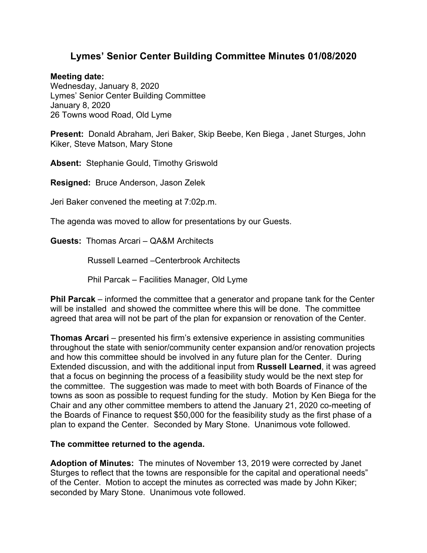## **Lymes' Senior Center Building Committee Minutes 01/08/2020**

## **Meeting date:**

Wednesday, January 8, 2020 Lymes' Senior Center Building Committee January 8, 2020 26 Towns wood Road, Old Lyme

**Present:** Donald Abraham, Jeri Baker, Skip Beebe, Ken Biega , Janet Sturges, John Kiker, Steve Matson, Mary Stone

**Absent:** Stephanie Gould, Timothy Griswold

**Resigned:** Bruce Anderson, Jason Zelek

Jeri Baker convened the meeting at 7:02p.m.

The agenda was moved to allow for presentations by our Guests.

**Guests:** Thomas Arcari – QA&M Architects

Russell Learned –Centerbrook Architects

Phil Parcak – Facilities Manager, Old Lyme

**Phil Parcak** – informed the committee that a generator and propane tank for the Center will be installed and showed the committee where this will be done. The committee agreed that area will not be part of the plan for expansion or renovation of the Center.

**Thomas Arcari** – presented his firm's extensive experience in assisting communities throughout the state with senior/community center expansion and/or renovation projects and how this committee should be involved in any future plan for the Center. During Extended discussion, and with the additional input from **Russell Learned**, it was agreed that a focus on beginning the process of a feasibility study would be the next step for the committee. The suggestion was made to meet with both Boards of Finance of the towns as soon as possible to request funding for the study. Motion by Ken Biega for the Chair and any other committee members to attend the January 21, 2020 co-meeting of the Boards of Finance to request \$50,000 for the feasibility study as the first phase of a plan to expand the Center. Seconded by Mary Stone. Unanimous vote followed.

## **The committee returned to the agenda.**

**Adoption of Minutes:** The minutes of November 13, 2019 were corrected by Janet Sturges to reflect that the towns are responsible for the capital and operational needs" of the Center. Motion to accept the minutes as corrected was made by John Kiker; seconded by Mary Stone. Unanimous vote followed.